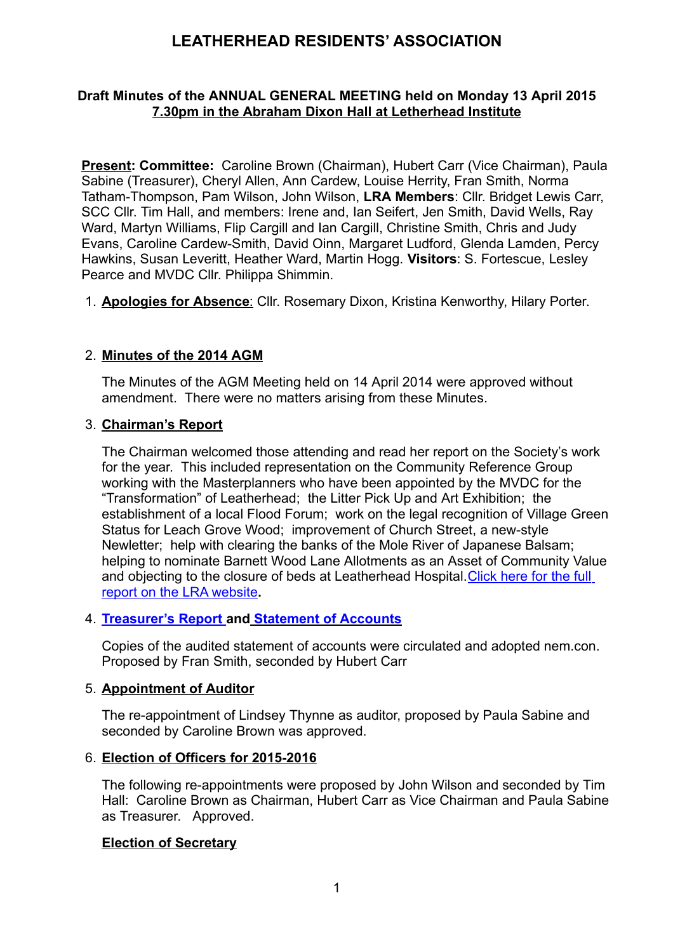# **LEATHERHEAD RESIDENTS' ASSOCIATION**

## **Draft Minutes of the ANNUAL GENERAL MEETING held on Monday 13 April 2015 7.30pm in the Abraham Dixon Hall at Letherhead Institute**

**Present: Committee:** Caroline Brown (Chairman), Hubert Carr (Vice Chairman), Paula Sabine (Treasurer), Cheryl Allen, Ann Cardew, Louise Herrity, Fran Smith, Norma Tatham-Thompson, Pam Wilson, John Wilson, **LRA Members**: Cllr. Bridget Lewis Carr, SCC Cllr. Tim Hall, and members: Irene and, Ian Seifert, Jen Smith, David Wells, Ray Ward, Martyn Williams, Flip Cargill and Ian Cargill, Christine Smith, Chris and Judy Evans, Caroline Cardew-Smith, David Oinn, Margaret Ludford, Glenda Lamden, Percy Hawkins, Susan Leveritt, Heather Ward, Martin Hogg. **Visitors**: S. Fortescue, Lesley Pearce and MVDC Cllr. Philippa Shimmin.

1. **Apologies for Absence:** Cllr. Rosemary Dixon, Kristina Kenworthy, Hilary Porter.

## 2. **Minutes of the 2014 AGM**

The Minutes of the AGM Meeting held on 14 April 2014 were approved without amendment. There were no matters arising from these Minutes.

## 3. **Chairman's Report**

The Chairman welcomed those attending and read her report on the Society's work for the year. This included representation on the Community Reference Group working with the Masterplanners who have been appointed by the MVDC for the "Transformation" of Leatherhead; the Litter Pick Up and Art Exhibition; the establishment of a local Flood Forum; work on the legal recognition of Village Green Status for Leach Grove Wood; improvement of Church Street, a new-style Newletter; help with clearing the banks of the Mole River of Japanese Balsam; helping to nominate Barnett Wood Lane Allotments as an Asset of Community Value and objecting to the closure of beds at Leatherhead Hospital. [Click here for the full](http://leatherheadresidents.org.uk/Reports/Chairman_AGM_2015.pdf) [report on the LRA website](http://leatherheadresidents.org.uk/Reports/Chairman_AGM_2015.pdf)**.**

#### 4. **[Treasurer's Report](http://leatherheadresidents.org.uk/Reports/Treasurer_AGM_2015.pdf) and [Statement of Accounts](http://leatherheadresidents.org.uk/Reports/Accounts_AGM_2015.pdf)**

Copies of the audited statement of accounts were circulated and adopted nem.con. Proposed by Fran Smith, seconded by Hubert Carr

#### 5. **Appointment of Auditor**

The re-appointment of Lindsey Thynne as auditor, proposed by Paula Sabine and seconded by Caroline Brown was approved.

#### 6. **Election of Officers for 2015-2016**

The following re-appointments were proposed by John Wilson and seconded by Tim Hall: Caroline Brown as Chairman, Hubert Carr as Vice Chairman and Paula Sabine as Treasurer. Approved.

#### **Election of Secretary**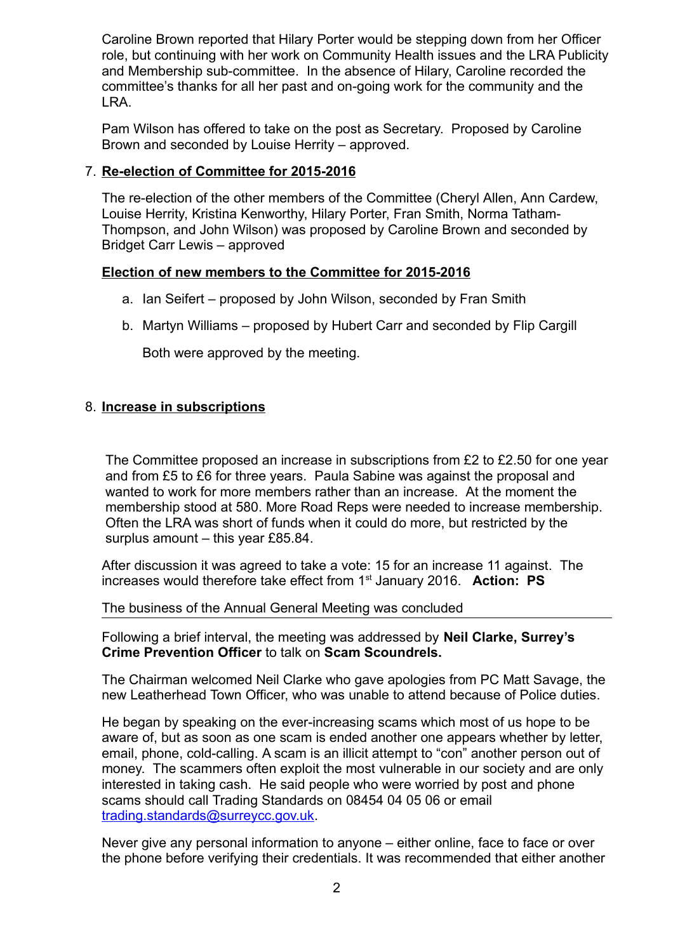Caroline Brown reported that Hilary Porter would be stepping down from her Officer role, but continuing with her work on Community Health issues and the LRA Publicity and Membership sub-committee. In the absence of Hilary, Caroline recorded the committee's thanks for all her past and on-going work for the community and the LRA.

Pam Wilson has offered to take on the post as Secretary. Proposed by Caroline Brown and seconded by Louise Herrity – approved.

#### 7. **Re-election of Committee for 2015-2016**

The re-election of the other members of the Committee (Cheryl Allen, Ann Cardew, Louise Herrity, Kristina Kenworthy, Hilary Porter, Fran Smith, Norma Tatham-Thompson, and John Wilson) was proposed by Caroline Brown and seconded by Bridget Carr Lewis – approved

#### **Election of new members to the Committee for 2015-2016**

- a. Ian Seifert proposed by John Wilson, seconded by Fran Smith
- b. Martyn Williams proposed by Hubert Carr and seconded by Flip Cargill

Both were approved by the meeting.

## 8. **Increase in subscriptions**

The Committee proposed an increase in subscriptions from £2 to £2.50 for one year and from £5 to £6 for three years. Paula Sabine was against the proposal and wanted to work for more members rather than an increase. At the moment the membership stood at 580. More Road Reps were needed to increase membership. Often the LRA was short of funds when it could do more, but restricted by the surplus amount – this year £85.84.

After discussion it was agreed to take a vote: 15 for an increase 11 against. The increases would therefore take effect from 1st January 2016. **Action: PS**

#### The business of the Annual General Meeting was concluded

Following a brief interval, the meeting was addressed by **Neil Clarke, Surrey's Crime Prevention Officer** to talk on **Scam Scoundrels.**

The Chairman welcomed Neil Clarke who gave apologies from PC Matt Savage, the new Leatherhead Town Officer, who was unable to attend because of Police duties.

He began by speaking on the ever-increasing scams which most of us hope to be aware of, but as soon as one scam is ended another one appears whether by letter, email, phone, cold-calling. A scam is an illicit attempt to "con" another person out of money. The scammers often exploit the most vulnerable in our society and are only interested in taking cash. He said people who were worried by post and phone scams should call Trading Standards on 08454 04 05 06 or email [trading.standards@surreycc.gov.uk.](mailto:trading.standards@surreycc.gov.uk)

Never give any personal information to anyone – either online, face to face or over the phone before verifying their credentials. It was recommended that either another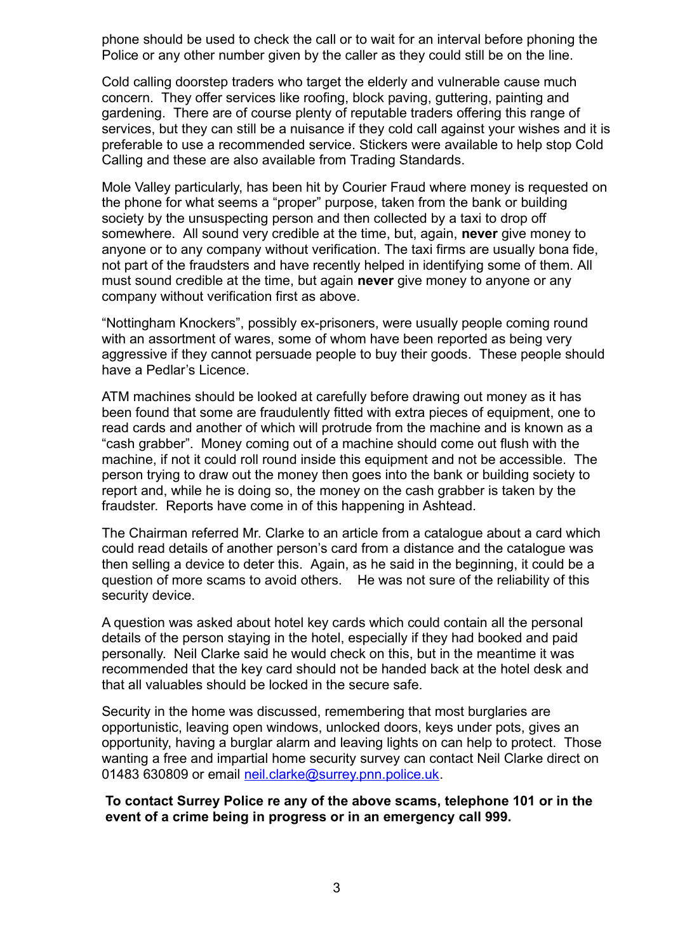phone should be used to check the call or to wait for an interval before phoning the Police or any other number given by the caller as they could still be on the line.

Cold calling doorstep traders who target the elderly and vulnerable cause much concern. They offer services like roofing, block paving, guttering, painting and gardening. There are of course plenty of reputable traders offering this range of services, but they can still be a nuisance if they cold call against your wishes and it is preferable to use a recommended service. Stickers were available to help stop Cold Calling and these are also available from Trading Standards.

Mole Valley particularly, has been hit by Courier Fraud where money is requested on the phone for what seems a "proper" purpose, taken from the bank or building society by the unsuspecting person and then collected by a taxi to drop off somewhere. All sound very credible at the time, but, again, **never** give money to anyone or to any company without verification. The taxi firms are usually bona fide, not part of the fraudsters and have recently helped in identifying some of them. All must sound credible at the time, but again **never** give money to anyone or any company without verification first as above.

"Nottingham Knockers", possibly ex-prisoners, were usually people coming round with an assortment of wares, some of whom have been reported as being very aggressive if they cannot persuade people to buy their goods. These people should have a Pedlar's Licence.

ATM machines should be looked at carefully before drawing out money as it has been found that some are fraudulently fitted with extra pieces of equipment, one to read cards and another of which will protrude from the machine and is known as a "cash grabber". Money coming out of a machine should come out flush with the machine, if not it could roll round inside this equipment and not be accessible. The person trying to draw out the money then goes into the bank or building society to report and, while he is doing so, the money on the cash grabber is taken by the fraudster. Reports have come in of this happening in Ashtead.

The Chairman referred Mr. Clarke to an article from a catalogue about a card which could read details of another person's card from a distance and the catalogue was then selling a device to deter this. Again, as he said in the beginning, it could be a question of more scams to avoid others. He was not sure of the reliability of this security device.

A question was asked about hotel key cards which could contain all the personal details of the person staying in the hotel, especially if they had booked and paid personally. Neil Clarke said he would check on this, but in the meantime it was recommended that the key card should not be handed back at the hotel desk and that all valuables should be locked in the secure safe.

Security in the home was discussed, remembering that most burglaries are opportunistic, leaving open windows, unlocked doors, keys under pots, gives an opportunity, having a burglar alarm and leaving lights on can help to protect. Those wanting a free and impartial home security survey can contact Neil Clarke direct on 01483 630809 or email [neil.clarke@surrey.pnn.police.uk.](mailto:neil.clarke@surrey.pnn.police.uk)

**To contact Surrey Police re any of the above scams, telephone 101 or in the event of a crime being in progress or in an emergency call 999.**